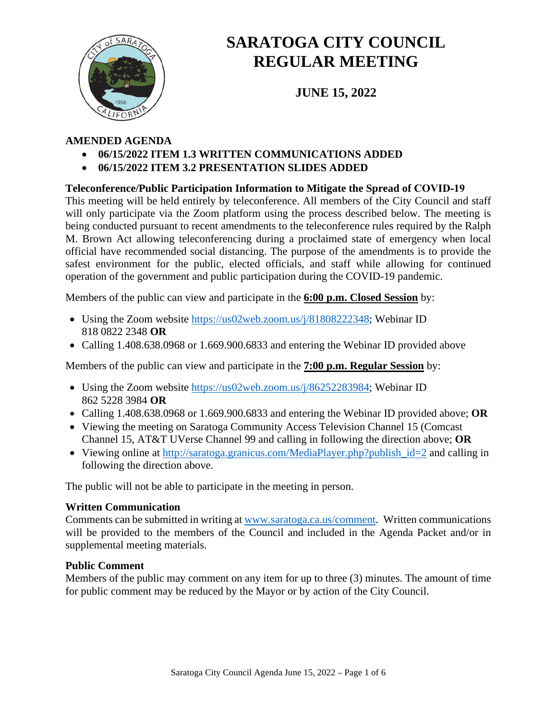

# **SARATOGA CITY COUNCIL REGULAR MEETING**

**JUNE 15, 2022**

## **AMENDED AGENDA**

- **06/15/2022 ITEM 1.3 WRITTEN COMMUNICATIONS ADDED**
- **06/15/2022 ITEM 3.2 PRESENTATION SLIDES ADDED**

## **Teleconference/Public Participation Information to Mitigate the Spread of COVID‐19**

This meeting will be held entirely by teleconference. All members of the City Council and staff will only participate via the Zoom platform using the process described below. The meeting is being conducted pursuant to recent amendments to the teleconference rules required by the Ralph M. Brown Act allowing teleconferencing during a proclaimed state of emergency when local official have recommended social distancing. The purpose of the amendments is to provide the safest environment for the public, elected officials, and staff while allowing for continued operation of the government and public participation during the COVID-19 pandemic.

Members of the public can view and participate in the **6:00 p.m. Closed Session** by:

- Using the Zoom website [https://us02web.zoom.us/j/81808222348;](https://us02web.zoom.us/j/81808222348) Webinar ID 818 0822 2348 **OR**
- Calling 1.408.638.0968 or 1.669.900.6833 and entering the Webinar ID provided above

Members of the public can view and participate in the **7:00 p.m. Regular Session** by:

- Using the Zoom website [https://us02web.zoom.us/j/86252283984;](https://us02web.zoom.us/j/86252283984) Webinar ID 862 5228 3984 **OR**
- Calling 1.408.638.0968 or 1.669.900.6833 and entering the Webinar ID provided above; **OR**
- Viewing the meeting on Saratoga Community Access Television Channel 15 (Comcast Channel 15, AT&T UVerse Channel 99 and calling in following the direction above; **OR**
- Viewing online at http://saratoga.granicus.com/MediaPlayer.php?publish  $id=2$  and calling in following the direction above.

The public will not be able to participate in the meeting in person.

#### **Written Communication**

Comments can be submitted in writing at [www.saratoga.ca.us/comment.](http://www.saratoga.ca.us/comment) Written communications will be provided to the members of the Council and included in the Agenda Packet and/or in supplemental meeting materials.

#### **Public Comment**

Members of the public may comment on any item for up to three (3) minutes. The amount of time for public comment may be reduced by the Mayor or by action of the City Council.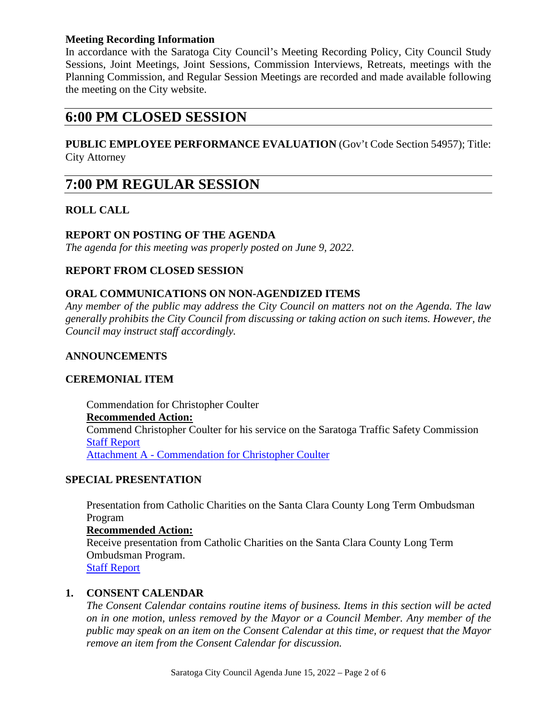#### **Meeting Recording Information**

In accordance with the Saratoga City Council's Meeting Recording Policy, City Council Study Sessions, Joint Meetings, Joint Sessions, Commission Interviews, Retreats, meetings with the Planning Commission, and Regular Session Meetings are recorded and made available following the meeting on the City website.

## **6:00 PM CLOSED SESSION**

#### **PUBLIC EMPLOYEE PERFORMANCE EVALUATION** (Gov't Code Section 54957); Title: City Attorney

## **7:00 PM REGULAR SESSION**

## **ROLL CALL**

#### **REPORT ON POSTING OF THE AGENDA**

*The agenda for this meeting was properly posted on June 9, 2022.*

#### **REPORT FROM CLOSED SESSION**

#### **ORAL COMMUNICATIONS ON NON-AGENDIZED ITEMS**

*Any member of the public may address the City Council on matters not on the Agenda. The law generally prohibits the City Council from discussing or taking action on such items. However, the Council may instruct staff accordingly.*

#### **ANNOUNCEMENTS**

#### **CEREMONIAL ITEM**

Commendation for Christopher Coulter **Recommended Action:** Commend Christopher Coulter for his service on the Saratoga Traffic Safety Commission [Staff Report](https://legistarweb-production.s3.amazonaws.com/uploads/attachment/pdf/1416601/2022_06_15_Chris_Coulter_commendation_staff_report.pdf) Attachment A - [Commendation for Christopher Coulter](https://legistarweb-production.s3.amazonaws.com/uploads/attachment/pdf/1416602/2022_06_15_Commendation_Chris_Coulter.pdf)

#### **SPECIAL PRESENTATION**

Presentation from Catholic Charities on the Santa Clara County Long Term Ombudsman Program

#### **Recommended Action:**

Receive presentation from Catholic Charities on the Santa Clara County Long Term Ombudsman Program. [Staff Report](https://legistarweb-production.s3.amazonaws.com/uploads/attachment/pdf/1413730/2022_06_15_Staff_Report_-_Catholic_Charities_Long_Term_Care_Ombudsman_Program.pdf)

#### **1. CONSENT CALENDAR**

*The Consent Calendar contains routine items of business. Items in this section will be acted on in one motion, unless removed by the Mayor or a Council Member. Any member of the public may speak on an item on the Consent Calendar at this time, or request that the Mayor remove an item from the Consent Calendar for discussion.*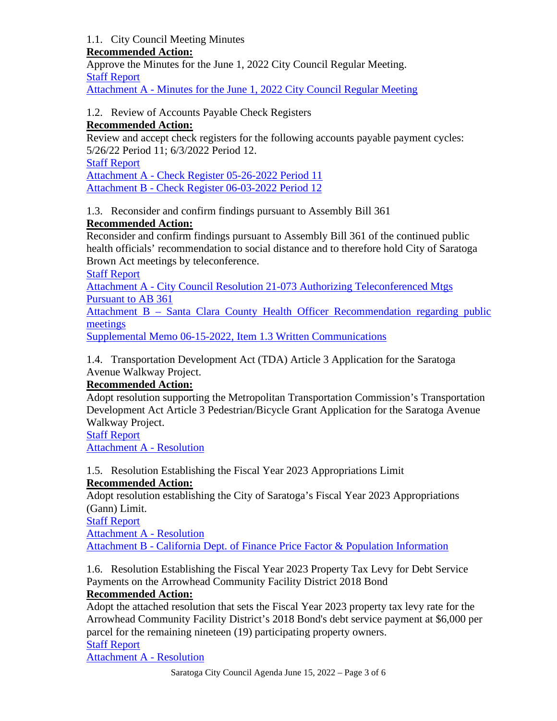## 1.1. City Council Meeting Minutes

#### **Recommended Action:**

Approve the Minutes for the June 1, 2022 City Council Regular Meeting. [Staff Report](https://legistarweb-production.s3.amazonaws.com/uploads/attachment/pdf/1408176/Staff_Report.pdf)

Attachment A - [Minutes for the June 1, 2022 City Council Regular Meeting](https://legistarweb-production.s3.amazonaws.com/uploads/attachment/pdf/1408177/Attachment_A_-_Minutes_for_the_June_1__2022_City_Council_Regular_Meeting.pdf)

## 1.2. Review of Accounts Payable Check Registers

## **Recommended Action:**

Review and accept check registers for the following accounts payable payment cycles: 5/26/22 Period 11; 6/3/2022 Period 12.

[Staff Report](https://legistarweb-production.s3.amazonaws.com/uploads/attachment/pdf/1412478/Staff_Report_-_Meeting_06-15-22_-_Finance_AP.pdf) Attachment A - [Check Register 05-26-2022 Period 11](https://legistarweb-production.s3.amazonaws.com/uploads/attachment/pdf/1412479/Attachment_A_-_Check_Register_05-26-2022_P11.pdf) Attachment B - [Check Register 06-03-2022 Period 12](https://legistarweb-production.s3.amazonaws.com/uploads/attachment/pdf/1412480/Attachment_B_-_Check_Register_06-03-2022_P12.pdf)

1.3. Reconsider and confirm findings pursuant to Assembly Bill 361

## **Recommended Action:**

Reconsider and confirm findings pursuant to Assembly Bill 361 of the continued public health officials' recommendation to social distance and to therefore hold City of Saratoga Brown Act meetings by teleconference.

[Staff Report](https://legistarweb-production.s3.amazonaws.com/uploads/attachment/pdf/1408179/Staff_Report.pdf)

Attachment A - [City Council Resolution 21-073 Authorizing Teleconferenced Mtgs](https://legistarweb-production.s3.amazonaws.com/uploads/attachment/pdf/1408180/Attachment_A_-_City_Council_Resolution_21-073_Authorizing_Teleconferenced_Mtgs_Pursuant_to_AB_361.pdf)  [Pursuant to AB 361](https://legistarweb-production.s3.amazonaws.com/uploads/attachment/pdf/1408180/Attachment_A_-_City_Council_Resolution_21-073_Authorizing_Teleconferenced_Mtgs_Pursuant_to_AB_361.pdf)

Attachment B – [Santa Clara County Health Officer Recommendation regarding public](https://legistarweb-production.s3.amazonaws.com/uploads/attachment/pdf/1408181/Attachment_B___Santa_Clara_County_Health_Officer_Recommendation_regarding_public_meetings.pdf)  [meetings](https://legistarweb-production.s3.amazonaws.com/uploads/attachment/pdf/1408181/Attachment_B___Santa_Clara_County_Health_Officer_Recommendation_regarding_public_meetings.pdf)

[Supplemental Memo 06-15-2022, Item 1.3 Written Communications](https://legistarweb-production.s3.amazonaws.com/uploads/attachment/pdf/1430303/Supplemental_Memo_06-15-2022__Item_1.3_Written_Communications.pdf)

1.4. Transportation Development Act (TDA) Article 3 Application for the Saratoga Avenue Walkway Project.

## **Recommended Action:**

Adopt resolution supporting the Metropolitan Transportation Commission's Transportation Development Act Article 3 Pedestrian/Bicycle Grant Application for the Saratoga Avenue Walkway Project.

[Staff Report](https://legistarweb-production.s3.amazonaws.com/uploads/attachment/pdf/1415468/Staff_Report.pdf) [Attachment A -](https://legistarweb-production.s3.amazonaws.com/uploads/attachment/pdf/1415469/Attachment_A_-_Resolution.pdf) Resolution

1.5. Resolution Establishing the Fiscal Year 2023 Appropriations Limit **Recommended Action:**

Adopt resolution establishing the City of Saratoga's Fiscal Year 2023 Appropriations (Gann) Limit.

[Staff Report](https://legistarweb-production.s3.amazonaws.com/uploads/attachment/pdf/1402545/01._SR_-_Gann_Limit_FY23.pdf)

[Attachment A -](https://legistarweb-production.s3.amazonaws.com/uploads/attachment/pdf/1402546/02._Attach_A_-_Resolution.pdf) Resolution

Attachment B - [California Dept. of Finance Price Factor & Population Information](https://legistarweb-production.s3.amazonaws.com/uploads/attachment/pdf/1402547/03._Attach_B_-_FY23_Gann_Limit_Notification_from_Dept_of_Finance__1_.pdf)

1.6. Resolution Establishing the Fiscal Year 2023 Property Tax Levy for Debt Service Payments on the Arrowhead Community Facility District 2018 Bond

#### **Recommended Action:**

Adopt the attached resolution that sets the Fiscal Year 2023 property tax levy rate for the Arrowhead Community Facility District's 2018 Bond's debt service payment at \$6,000 per parcel for the remaining nineteen (19) participating property owners.

[Staff Report](https://legistarweb-production.s3.amazonaws.com/uploads/attachment/pdf/1413917/NEW_SR_FY_2022-23_Arrowhead_Property_Tax_Levy.pdf)

[Attachment A -](https://legistarweb-production.s3.amazonaws.com/uploads/attachment/pdf/1403564/02._Arrowhead_Tax_Levy_Resolution.pdf) Resolution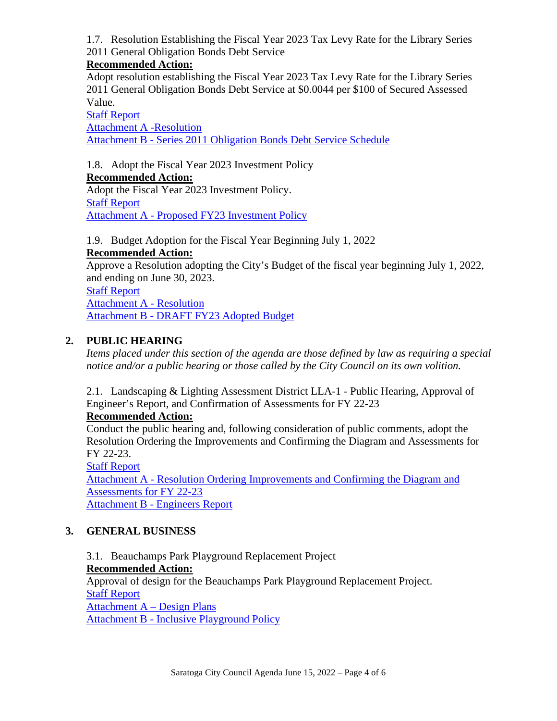1.7. Resolution Establishing the Fiscal Year 2023 Tax Levy Rate for the Library Series 2011 General Obligation Bonds Debt Service

#### **Recommended Action:**

Adopt resolution establishing the Fiscal Year 2023 Tax Levy Rate for the Library Series 2011 General Obligation Bonds Debt Service at \$0.0044 per \$100 of Secured Assessed Value.

[Staff Report](https://legistarweb-production.s3.amazonaws.com/uploads/attachment/pdf/1403608/01._SR_-_FY23_GO_Bond_Tax_Levy.pdf) [Attachment A -Resolution](https://legistarweb-production.s3.amazonaws.com/uploads/attachment/pdf/1403609/02._Attach_A_-_Resolution_GO_Bond.pdf) Attachment B - [Series 2011 Obligation Bonds Debt Service Schedule](https://legistarweb-production.s3.amazonaws.com/uploads/attachment/pdf/1403610/03._Attach_B_-_Debt_Service_Schedule.pdf)

1.8. Adopt the Fiscal Year 2023 Investment Policy

**Recommended Action:** Adopt the Fiscal Year 2023 Investment Policy. [Staff Report](https://legistarweb-production.s3.amazonaws.com/uploads/attachment/pdf/1403630/01._SR_-_FY23_Investment_Policy.pdf) Attachment A - [Proposed FY23 Investment Policy](https://legistarweb-production.s3.amazonaws.com/uploads/attachment/pdf/1413766/02._Attach_A_-_Proposed_FY23_Investment_Policy__1_.pdf)

#### 1.9. Budget Adoption for the Fiscal Year Beginning July 1, 2022

#### **Recommended Action:**

Approve a Resolution adopting the City's Budget of the fiscal year beginning July 1, 2022, and ending on June 30, 2023.

[Staff Report](https://legistarweb-production.s3.amazonaws.com/uploads/attachment/pdf/1413324/01._SR_-_Budget_Adoption_-_Final.pdf) [Attachment A -](https://legistarweb-production.s3.amazonaws.com/uploads/attachment/pdf/1415123/Combined_Budget_Resolution_and_Salary_Table.pdf) Resolution Attachment B - [DRAFT FY23 Adopted Budget](https://legistarweb-production.s3.amazonaws.com/uploads/attachment/pdf/1419322/Final_6-15-22_FY23_Adopted_Budget_Draft.pdf)

## **2. PUBLIC HEARING**

*Items placed under this section of the agenda are those defined by law as requiring a special notice and/or a public hearing or those called by the City Council on its own volition.* 

2.1. Landscaping & Lighting Assessment District LLA-1 - Public Hearing, Approval of Engineer's Report, and Confirmation of Assessments for FY 22-23

#### **Recommended Action:**

Conduct the public hearing and, following consideration of public comments, adopt the Resolution Ordering the Improvements and Confirming the Diagram and Assessments for FY 22-23.

[Staff Report](https://legistarweb-production.s3.amazonaws.com/uploads/attachment/pdf/1413476/Staff_Report_LLA.pdf) Attachment A - [Resolution Ordering Improvements and Confirming the Diagram and](https://legistarweb-production.s3.amazonaws.com/uploads/attachment/pdf/1415456/Attachment_A_-_Reso.pdf)  [Assessments for FY 22-23](https://legistarweb-production.s3.amazonaws.com/uploads/attachment/pdf/1415456/Attachment_A_-_Reso.pdf) Attachment B - [Engineers Report](https://legistarweb-production.s3.amazonaws.com/uploads/attachment/pdf/1413478/Attachment_B_-_Report.pdf)

## **3. GENERAL BUSINESS**

3.1. Beauchamps Park Playground Replacement Project **Recommended Action:**

Approval of design for the Beauchamps Park Playground Replacement Project. [Staff Report](https://legistarweb-production.s3.amazonaws.com/uploads/attachment/pdf/1414939/Staff_Report.pdf) [Attachment A –](https://legistarweb-production.s3.amazonaws.com/uploads/attachment/pdf/1414940/Attachment_A___Design_Plans.pdf) Design Plans

Attachment B - [Inclusive Playground Policy](https://legistarweb-production.s3.amazonaws.com/uploads/attachment/pdf/1419210/Attachment_B_-_Inclusive_Playground_Policy.pdf)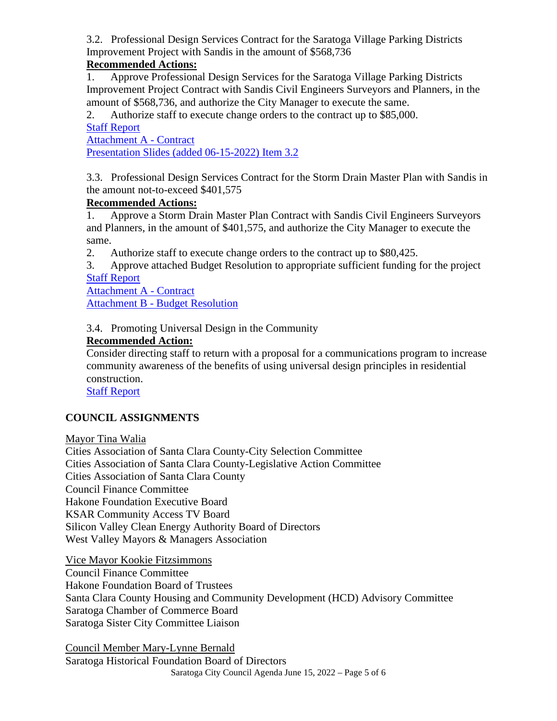3.2. Professional Design Services Contract for the Saratoga Village Parking Districts Improvement Project with Sandis in the amount of \$568,736

## **Recommended Actions:**

1. Approve Professional Design Services for the Saratoga Village Parking Districts Improvement Project Contract with Sandis Civil Engineers Surveyors and Planners, in the amount of \$568,736, and authorize the City Manager to execute the same.

2. Authorize staff to execute change orders to the contract up to \$85,000.

## [Staff Report](https://legistarweb-production.s3.amazonaws.com/uploads/attachment/pdf/1417416/Staff_Report_.pdf)

[Attachment A -](https://legistarweb-production.s3.amazonaws.com/uploads/attachment/pdf/1415466/Attachment_A_-_Contract.pdf) Contract [Presentation Slides \(added 06-15-2022\) Item 3.2](https://legistarweb-production.s3.amazonaws.com/uploads/attachment/pdf/1432067/Presentation_Slides__added_06-15-2022__Item_3.2.pdf)

3.3. Professional Design Services Contract for the Storm Drain Master Plan with Sandis in the amount not-to-exceed \$401,575

#### **Recommended Actions:**

1. Approve a Storm Drain Master Plan Contract with Sandis Civil Engineers Surveyors and Planners, in the amount of \$401,575, and authorize the City Manager to execute the same.

2. Authorize staff to execute change orders to the contract up to \$80,425.

3. Approve attached Budget Resolution to appropriate sufficient funding for the project [Staff Report](https://legistarweb-production.s3.amazonaws.com/uploads/attachment/pdf/1416512/Staff_Report-Rev.pdf)

[Attachment A -](https://legistarweb-production.s3.amazonaws.com/uploads/attachment/pdf/1416521/Attachment_A_-_Contract.pdf) Contract Attachment B - [Budget Resolution](https://legistarweb-production.s3.amazonaws.com/uploads/attachment/pdf/1414002/Attachment_B_-_Budget_Resolution.pdf)

3.4. Promoting Universal Design in the Community

## **Recommended Action:**

Consider directing staff to return with a proposal for a communications program to increase community awareness of the benefits of using universal design principles in residential construction.

[Staff Report](https://legistarweb-production.s3.amazonaws.com/uploads/attachment/pdf/1417462/Staff_Report_Universal_Design.pdf)

## **COUNCIL ASSIGNMENTS**

Mayor Tina Walia

Cities Association of Santa Clara County-City Selection Committee Cities Association of Santa Clara County-Legislative Action Committee Cities Association of Santa Clara County Council Finance Committee Hakone Foundation Executive Board KSAR Community Access TV Board Silicon Valley Clean Energy Authority Board of Directors West Valley Mayors & Managers Association

Vice Mayor Kookie Fitzsimmons Council Finance Committee Hakone Foundation Board of Trustees Santa Clara County Housing and Community Development (HCD) Advisory Committee Saratoga Chamber of Commerce Board Saratoga Sister City Committee Liaison

Saratoga City Council Agenda June 15, 2022 – Page 5 of 6 Council Member Mary-Lynne Bernald Saratoga Historical Foundation Board of Directors